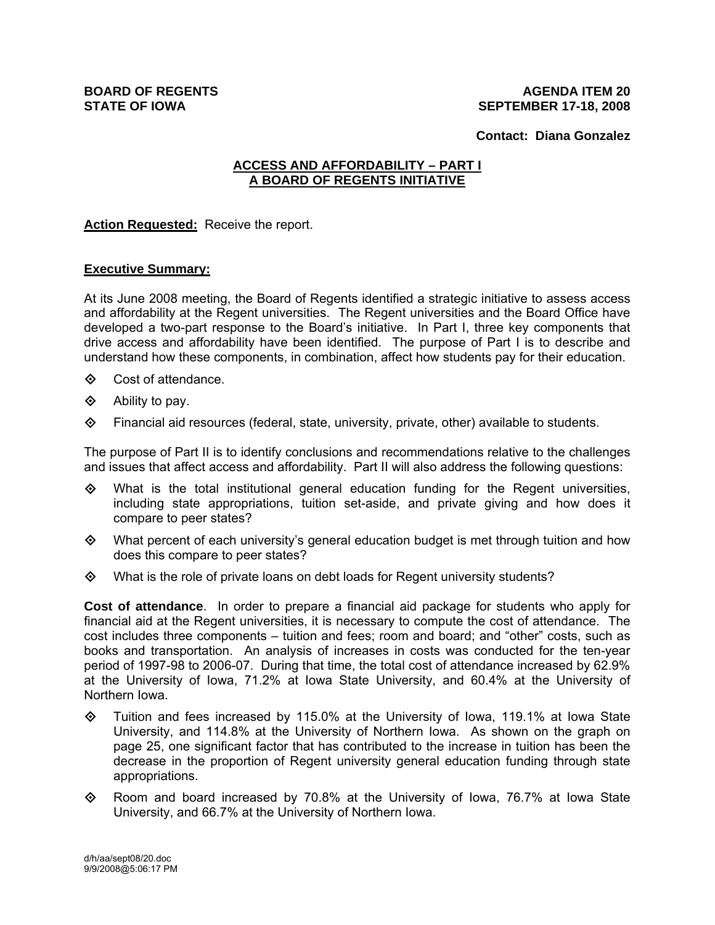**Contact: Diana Gonzalez** 

## **ACCESS AND AFFORDABILITY – PART I A BOARD OF REGENTS INITIATIVE**

**Action Requested:** Receive the report.

## **Executive Summary:**

At its June 2008 meeting, the Board of Regents identified a strategic initiative to assess access and affordability at the Regent universities. The Regent universities and the Board Office have developed a two-part response to the Board's initiative. In Part I, three key components that drive access and affordability have been identified. The purpose of Part I is to describe and understand how these components, in combination, affect how students pay for their education.

- $\diamond$  Cost of attendance.
- $\diamond$  Ability to pay.
- $\diamond$  Financial aid resources (federal, state, university, private, other) available to students.

The purpose of Part II is to identify conclusions and recommendations relative to the challenges and issues that affect access and affordability. Part II will also address the following questions:

- $\diamond$  What is the total institutional general education funding for the Regent universities, including state appropriations, tuition set-aside, and private giving and how does it compare to peer states?
- $\Leftrightarrow$  What percent of each university's general education budget is met through tuition and how does this compare to peer states?
- What is the role of private loans on debt loads for Regent university students?

**Cost of attendance**. In order to prepare a financial aid package for students who apply for financial aid at the Regent universities, it is necessary to compute the cost of attendance. The cost includes three components – tuition and fees; room and board; and "other" costs, such as books and transportation. An analysis of increases in costs was conducted for the ten-year period of 1997-98 to 2006-07. During that time, the total cost of attendance increased by 62.9% at the University of Iowa, 71.2% at Iowa State University, and 60.4% at the University of Northern Iowa.

- $\Diamond$  Tuition and fees increased by 115.0% at the University of Iowa, 119.1% at Iowa State University, and 114.8% at the University of Northern Iowa. As shown on the graph on page 25, one significant factor that has contributed to the increase in tuition has been the decrease in the proportion of Regent university general education funding through state appropriations.
- $\Diamond$  Room and board increased by 70.8% at the University of Iowa, 76.7% at Iowa State University, and 66.7% at the University of Northern Iowa.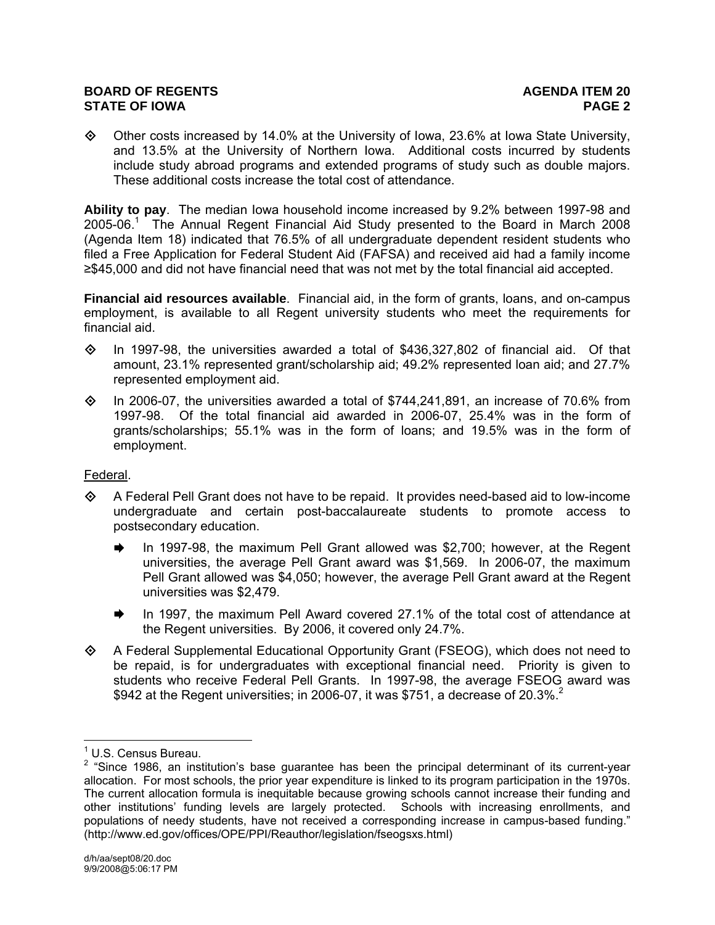#### **BOARD OF REGENTS AGENUS AGENDA ITEM 20 STATE OF IOWA PAGE 2**

 $\Diamond$  Other costs increased by 14.0% at the University of Iowa, 23.6% at Iowa State University, and 13.5% at the University of Northern Iowa. Additional costs incurred by students include study abroad programs and extended programs of study such as double majors. These additional costs increase the total cost of attendance.

**Ability to pay**. The median Iowa household income increased by 9.2% between 1997-98 and 2005-06.<sup>1</sup> The Annual Regent Financial Aid Study presented to the Board in March 2008 (Agenda Item 18) indicated that 76.5% of all undergraduate dependent resident students who filed a Free Application for Federal Student Aid (FAFSA) and received aid had a family income ≥\$45,000 and did not have financial need that was not met by the total financial aid accepted.

**Financial aid resources available**. Financial aid, in the form of grants, loans, and on-campus employment, is available to all Regent university students who meet the requirements for financial aid.

- $\diamond$  In 1997-98, the universities awarded a total of \$436,327,802 of financial aid. Of that amount, 23.1% represented grant/scholarship aid; 49.2% represented loan aid; and 27.7% represented employment aid.
- $\Diamond$  In 2006-07, the universities awarded a total of \$744,241,891, an increase of 70.6% from 1997-98. Of the total financial aid awarded in 2006-07, 25.4% was in the form of grants/scholarships; 55.1% was in the form of loans; and 19.5% was in the form of employment.

## Federal.

- $\Leftrightarrow$  A Federal Pell Grant does not have to be repaid. It provides need-based aid to low-income undergraduate and certain post-baccalaureate students to promote access to postsecondary education.
	- $\rightarrow$  In 1997-98, the maximum Pell Grant allowed was \$2,700; however, at the Regent universities, the average Pell Grant award was \$1,569. In 2006-07, the maximum Pell Grant allowed was \$4,050; however, the average Pell Grant award at the Regent universities was \$2,479.
	- $\rightarrow$  In 1997, the maximum Pell Award covered 27.1% of the total cost of attendance at the Regent universities. By 2006, it covered only 24.7%.
- A Federal Supplemental Educational Opportunity Grant (FSEOG), which does not need to be repaid, is for undergraduates with exceptional financial need. Priority is given to students who receive Federal Pell Grants. In 1997-98, the average FSEOG award was \$942 at the Regent universities; in 2006-07, it was \$751, a decrease of 20.3%.<sup>2</sup>

<sup>&</sup>lt;u>de Commundo Commundo Commundo Commundo Commundo Commundo Commundo Commundo Commundo Commundo Commundo Commundo C</u><br>Commundo Commundo Commundo Commundo Commundo Commundo Commundo Commundo Commundo Commundo Commundo Commundo

 $2$  "Since 1986, an institution's base guarantee has been the principal determinant of its current-year allocation. For most schools, the prior year expenditure is linked to its program participation in the 1970s. The current allocation formula is inequitable because growing schools cannot increase their funding and other institutions' funding levels are largely protected. Schools with increasing enrollments, and populations of needy students, have not received a corresponding increase in campus-based funding." (http://www.ed.gov/offices/OPE/PPI/Reauthor/legislation/fseogsxs.html)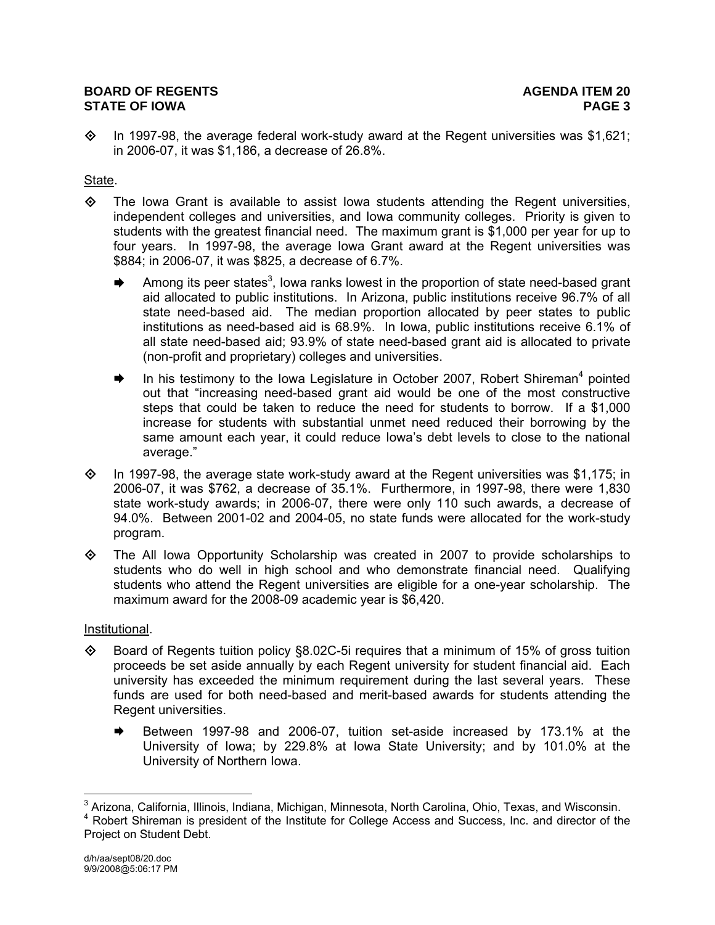## **BOARD OF REGENTS AGENUS AGENDA ITEM 20 STATE OF IOWA PAGE 3**

 $\diamond$  In 1997-98, the average federal work-study award at the Regent universities was \$1,621; in 2006-07, it was \$1,186, a decrease of 26.8%.

## State.

- $\diamond$  The Iowa Grant is available to assist Iowa students attending the Regent universities, independent colleges and universities, and Iowa community colleges. Priority is given to students with the greatest financial need. The maximum grant is \$1,000 per year for up to four years. In 1997-98, the average Iowa Grant award at the Regent universities was \$884; in 2006-07, it was \$825, a decrease of 6.7%.
	- Among its peer states<sup>3</sup>, lowa ranks lowest in the proportion of state need-based grant aid allocated to public institutions. In Arizona, public institutions receive 96.7% of all state need-based aid. The median proportion allocated by peer states to public institutions as need-based aid is 68.9%. In Iowa, public institutions receive 6.1% of all state need-based aid; 93.9% of state need-based grant aid is allocated to private (non-profit and proprietary) colleges and universities.
	- $\blacktriangleright$  In his testimony to the Iowa Legislature in October 2007, Robert Shireman<sup>4</sup> pointed out that "increasing need-based grant aid would be one of the most constructive steps that could be taken to reduce the need for students to borrow. If a \$1,000 increase for students with substantial unmet need reduced their borrowing by the same amount each year, it could reduce Iowa's debt levels to close to the national average."
- $\Diamond$  In 1997-98, the average state work-study award at the Regent universities was \$1,175; in 2006-07, it was \$762, a decrease of 35.1%. Furthermore, in 1997-98, there were 1,830 state work-study awards; in 2006-07, there were only 110 such awards, a decrease of 94.0%. Between 2001-02 and 2004-05, no state funds were allocated for the work-study program.
- $\diamond$  The All Iowa Opportunity Scholarship was created in 2007 to provide scholarships to students who do well in high school and who demonstrate financial need. Qualifying students who attend the Regent universities are eligible for a one-year scholarship. The maximum award for the 2008-09 academic year is \$6,420.

## Institutional.

- $\diamond$  Board of Regents tuition policy §8.02C-5i requires that a minimum of 15% of gross tuition proceeds be set aside annually by each Regent university for student financial aid. Each university has exceeded the minimum requirement during the last several years. These funds are used for both need-based and merit-based awards for students attending the Regent universities.
	- Between 1997-98 and 2006-07, tuition set-aside increased by 173.1% at the University of Iowa; by 229.8% at Iowa State University; and by 101.0% at the University of Northern Iowa.

 $\overline{a}$  $^3$  Arizona, California, Illinois, Indiana, Michigan, Minnesota, North Carolina, Ohio, Texas, and Wisconsin.

<sup>&</sup>lt;sup>4</sup> Robert Shireman is president of the Institute for College Access and Success, Inc. and director of the Project on Student Debt.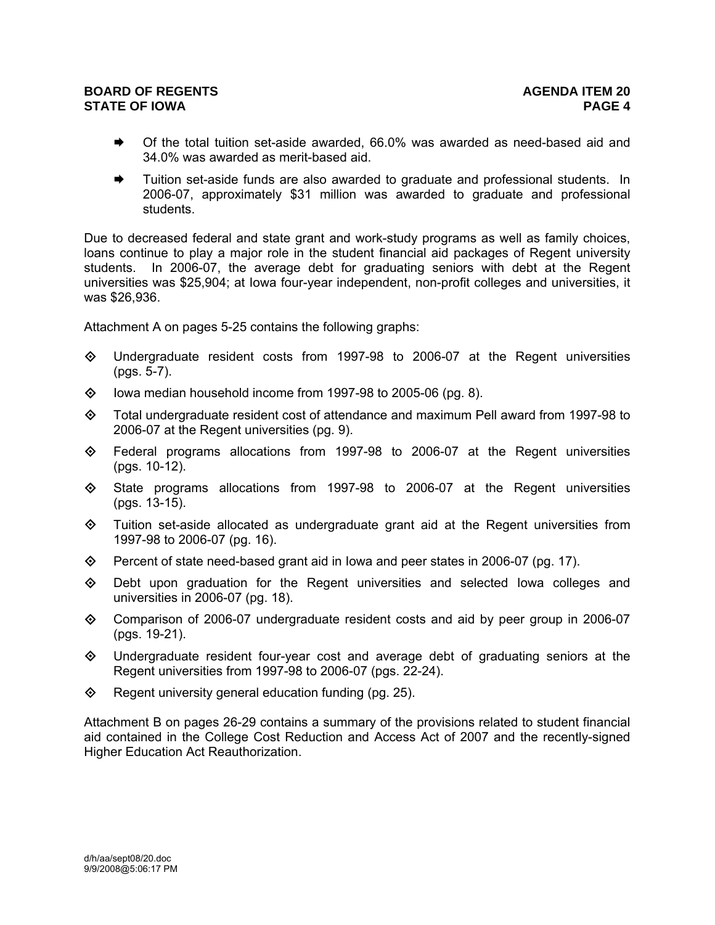## **BOARD OF REGENTS AGENUS AGENDA ITEM 20 STATE OF IOWA PAGE 4**

- Of the total tuition set-aside awarded, 66.0% was awarded as need-based aid and 34.0% was awarded as merit-based aid.
- Tuition set-aside funds are also awarded to graduate and professional students. In 2006-07, approximately \$31 million was awarded to graduate and professional students.

Due to decreased federal and state grant and work-study programs as well as family choices, loans continue to play a major role in the student financial aid packages of Regent university students. In 2006-07, the average debt for graduating seniors with debt at the Regent universities was \$25,904; at Iowa four-year independent, non-profit colleges and universities, it was \$26,936.

Attachment A on pages 5-25 contains the following graphs:

- $\diamond$  Undergraduate resident costs from 1997-98 to 2006-07 at the Regent universities (pgs. 5-7).
- $\Diamond$  lowa median household income from 1997-98 to 2005-06 (pg. 8).
- $\diamond$  Total undergraduate resident cost of attendance and maximum Pell award from 1997-98 to 2006-07 at the Regent universities (pg. 9).
- $\diamond$  Federal programs allocations from 1997-98 to 2006-07 at the Regent universities (pgs. 10-12).
- State programs allocations from 1997-98 to 2006-07 at the Regent universities (pgs. 13-15).
- $\diamond$  Tuition set-aside allocated as undergraduate grant aid at the Regent universities from 1997-98 to 2006-07 (pg. 16).
- $\diamond$  Percent of state need-based grant aid in Iowa and peer states in 2006-07 (pg. 17).
- Debt upon graduation for the Regent universities and selected Iowa colleges and universities in 2006-07 (pg. 18).
- Comparison of 2006-07 undergraduate resident costs and aid by peer group in 2006-07 (pgs. 19-21).
- $\Leftrightarrow$  Undergraduate resident four-year cost and average debt of graduating seniors at the Regent universities from 1997-98 to 2006-07 (pgs. 22-24).
- $\Diamond$  Regent university general education funding (pg. 25).

Attachment B on pages 26-29 contains a summary of the provisions related to student financial aid contained in the College Cost Reduction and Access Act of 2007 and the recently-signed Higher Education Act Reauthorization.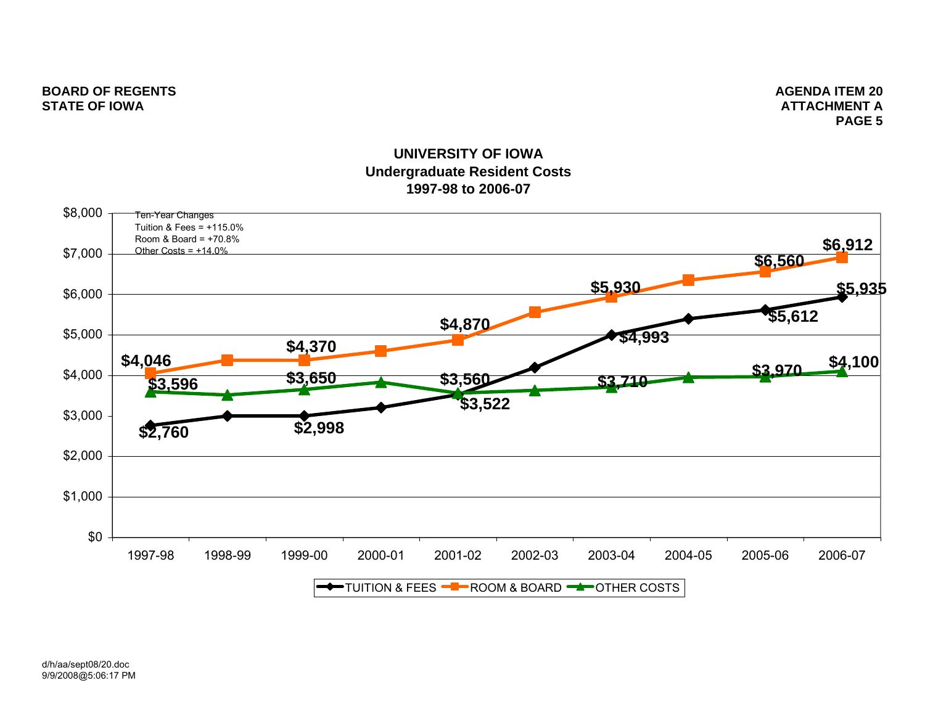## **BOARD OF REGENTS** AGENERATION AGENERATION ASSESSED. A LOCAL AGENERATION AGENERATION AGENERATION AGENERATION OF REGENERATION AGENERATION AGENERATION OF REGENERATION AGENERATION AGENERATION OF REGENERATION AGENERATION OF RE **STATE OF IOWA**

 **ATTACHMENT APAGE 5**

# **UNIVERSITY OF IOWAUndergraduate Resident Costs 1997-98 to 2006-07**

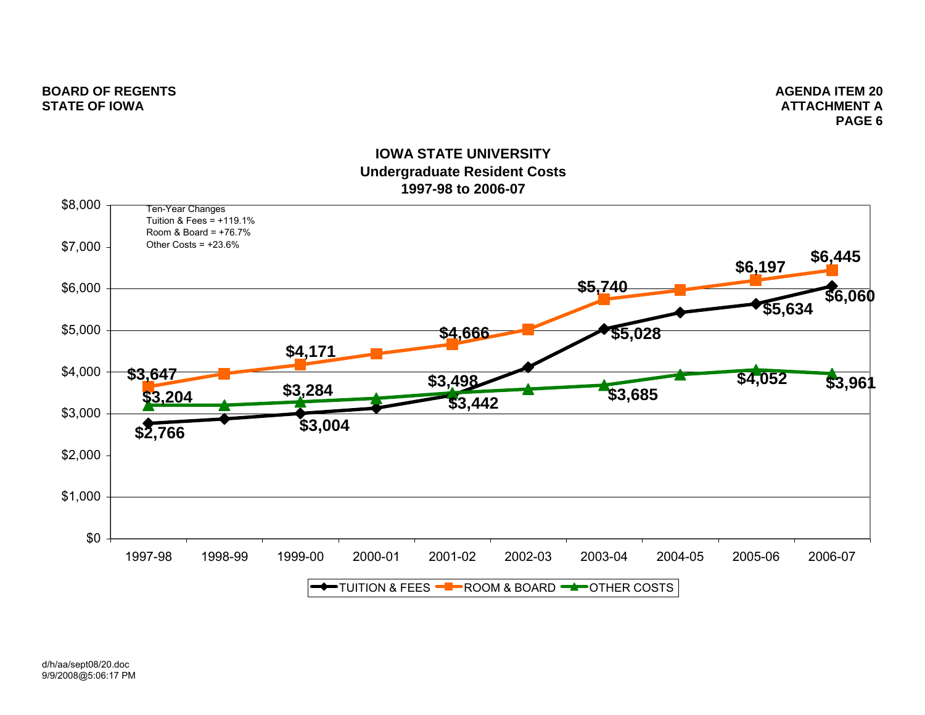### **BOARD OF REGENTS** AGENUS AGENER AND A SERIES AGENERAL AGENERATION OF REGENERAL AGENERATION OF REGENERAL AGENERAL AGENERAL AGENERAL AGENERAL AGENERAL AGENERAL AGENERAL AGENERAL AGENERAL AGENERAL AGENERAL AGENERAL AGENERAL **STATE OF IOWA**

 **ATTACHMENT APAGE 6**

# **IOWA STATE UNIVERSITYUndergraduate Resident Costs 1997-98 to 2006-07**

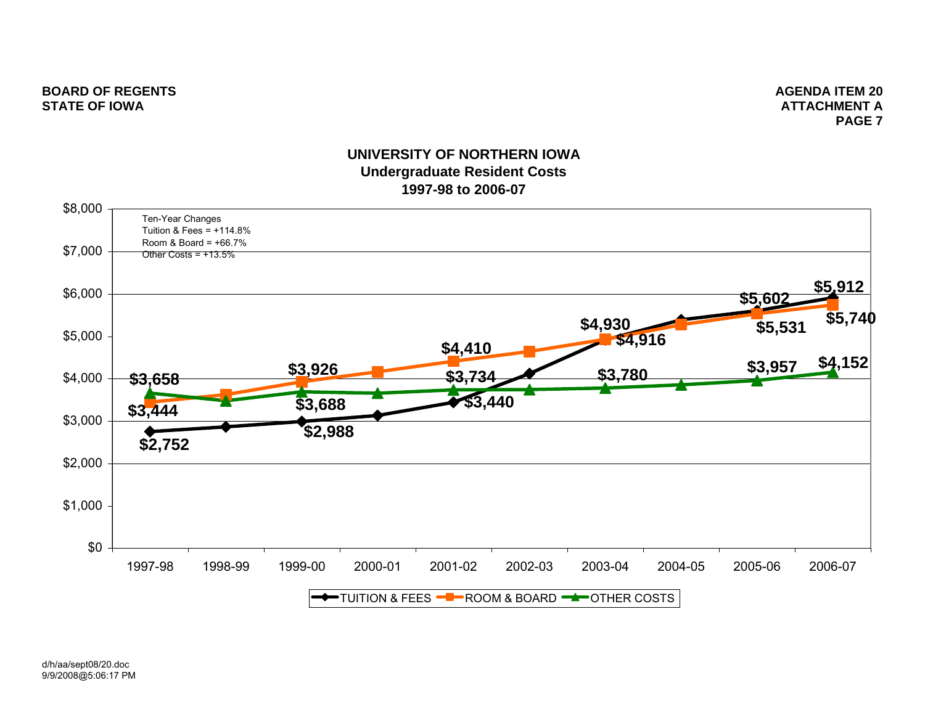**ATTACHMENT APAGE 7**

## **UNIVERSITY OF NORTHERN IOWAUndergraduate Resident Costs 1997-98 to 2006-07**

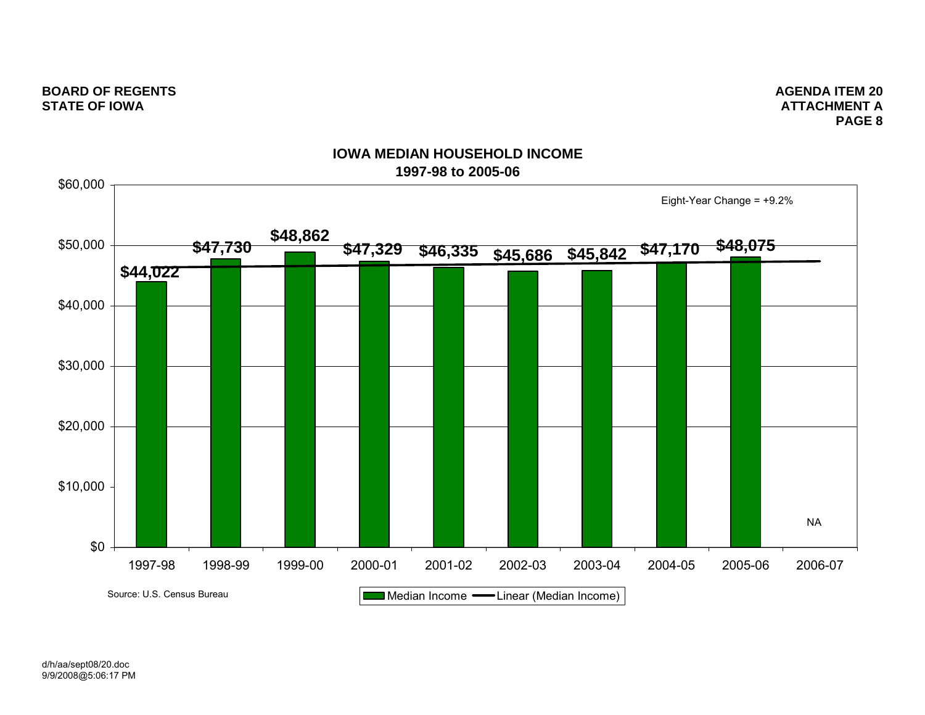**ATTACHMENT APAGE 8**



## **IOWA MEDIAN HOUSEHOLD INCOME1997-98 to 2005-06**

d/h/aa/sept08/20.doc 9/9/2008@5:06:17 PM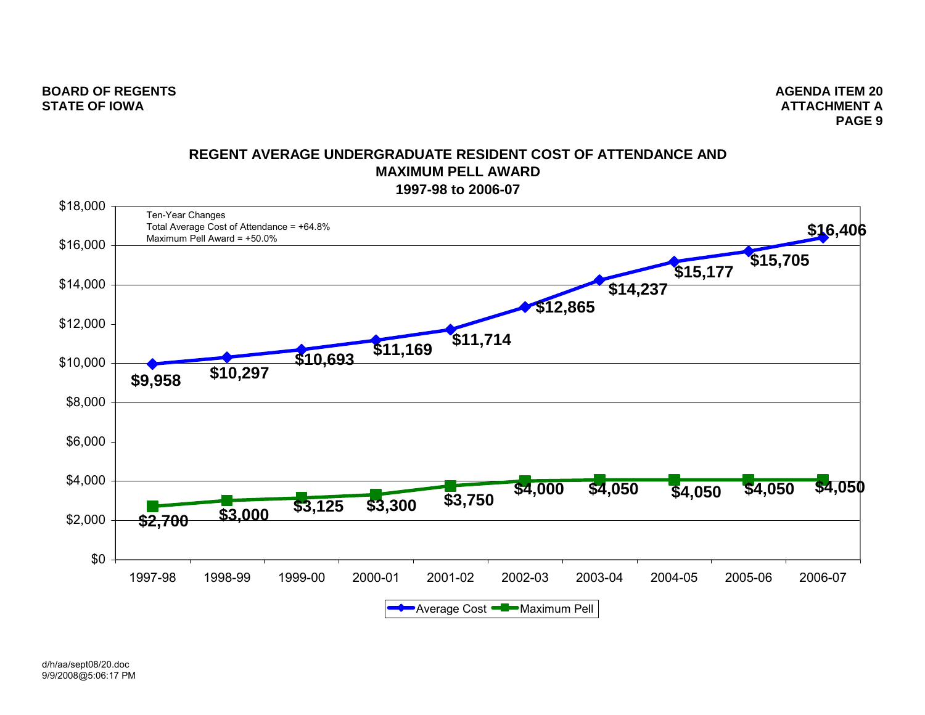**BOARD OF REGENTS AGENUS AGENUS** AGENUS AGENUS AGENUS AGENUS AGENUS AGENUS AGENUS AGENUS AGENUS AGENUS AGENUS AGENUS AGENUS AGENUS AGENUS AGENUS AGENUS AGENUS AGENUS AGENUS AGENUS AGENUS AGENUS AGENUS AGENUS AGENUS AGENUS **STATE OF IOWA**

 **ATTACHMENT APAGE 9**

## **REGENT AVERAGE UNDERGRADUATE RESIDENT COST OF ATTENDANCE ANDMAXIMUM PELL AWARD1997-98 to 2006-07**

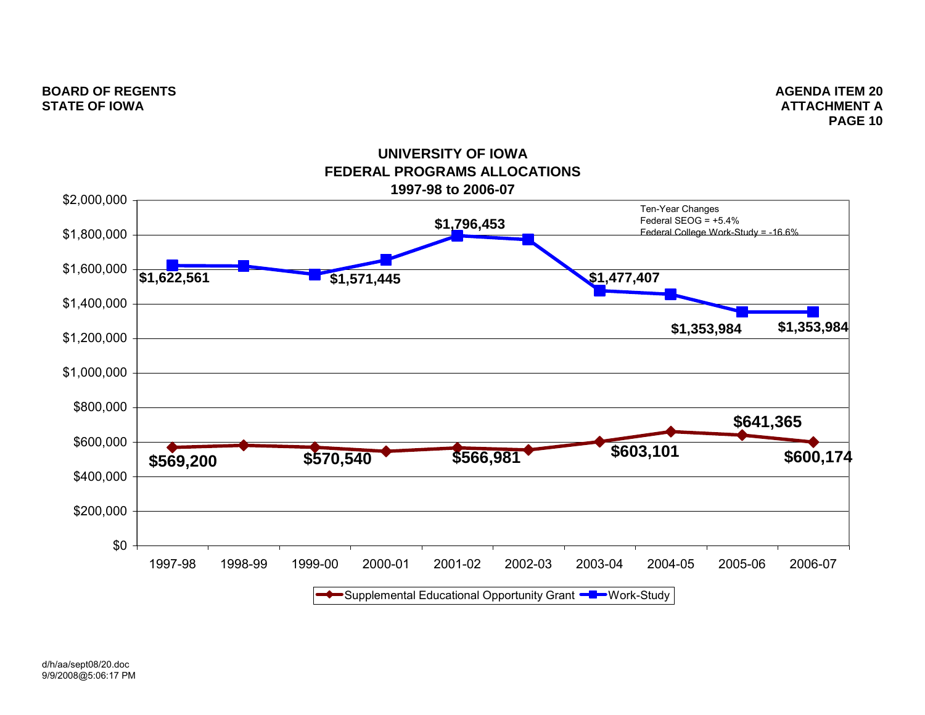**ATTACHMENT APAGE 10**

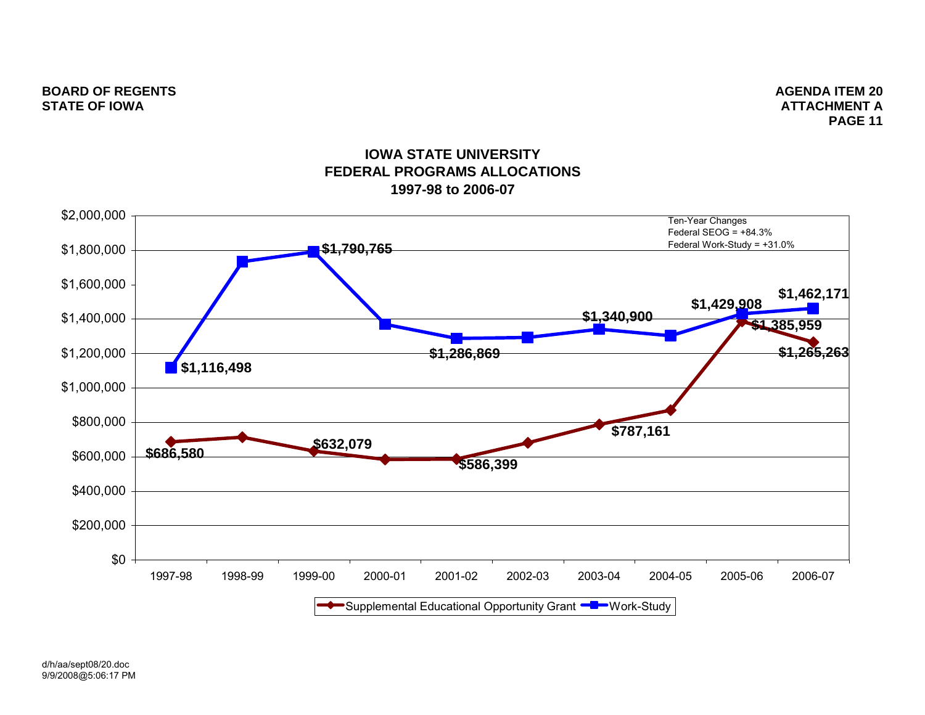**ATTACHMENT APAGE 11**



## **IOWA STATE UNIVERSITYFEDERAL PROGRAMS ALLOCATIONS1997-98 to 2006-07**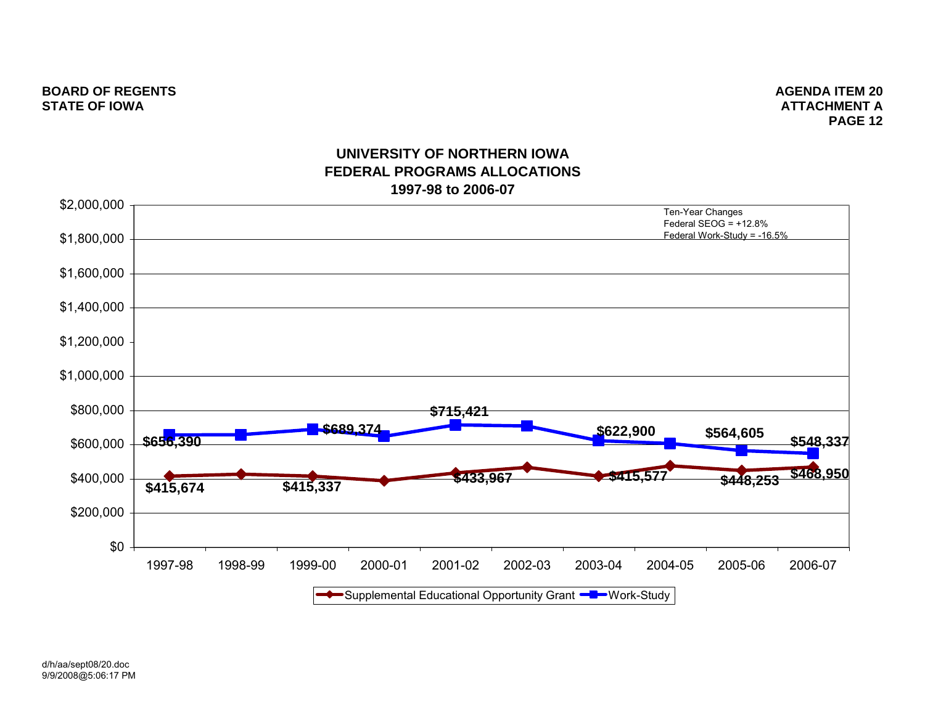**ATTACHMENT APAGE 12**



## **UNIVERSITY OF NORTHERN IOWAFEDERAL PROGRAMS ALLOCATIONS1997-98 to 2006-07**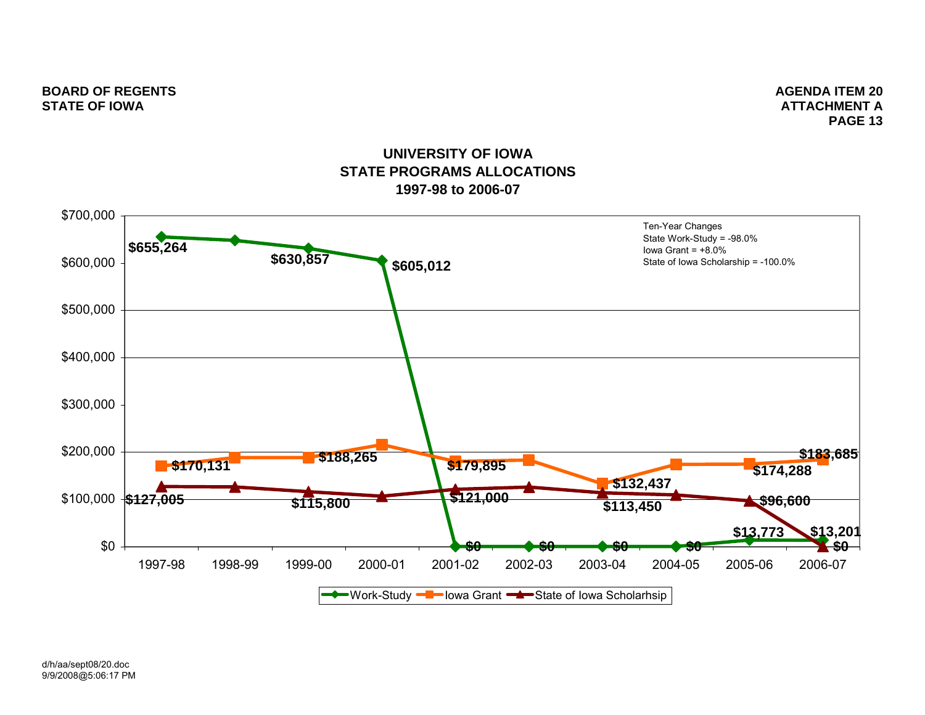**ATTACHMENT APAGE 13**

# **UNIVERSITY OF IOWASTATE PROGRAMS ALLOCATIONS1997-98 to 2006-07**

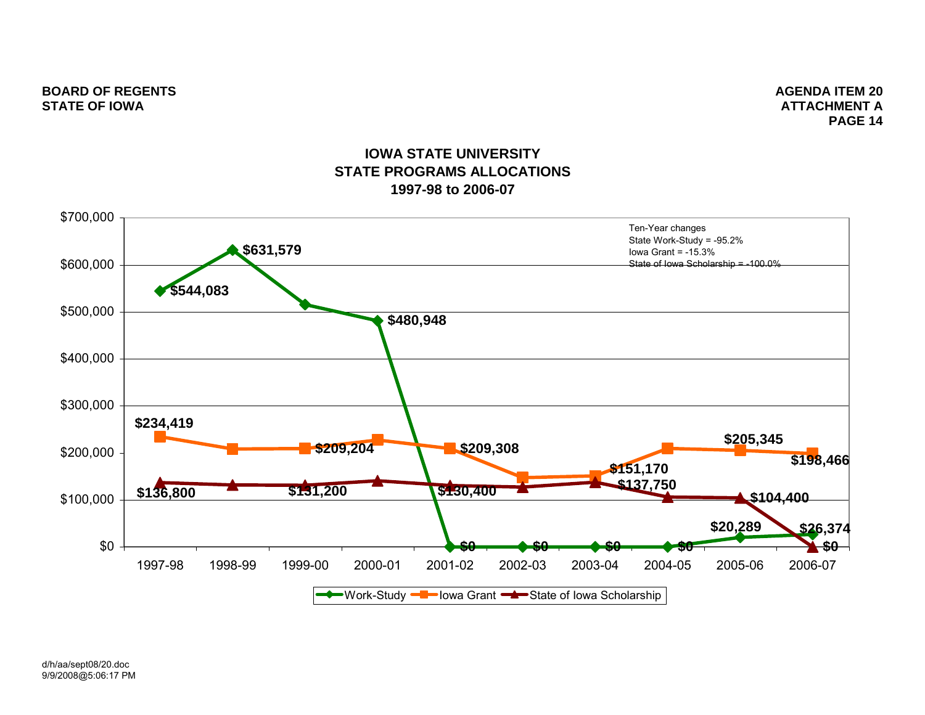**ATTACHMENT APAGE 14**

# **IOWA STATE UNIVERSITYSTATE PROGRAMS ALLOCATIONS1997-98 to 2006-07**

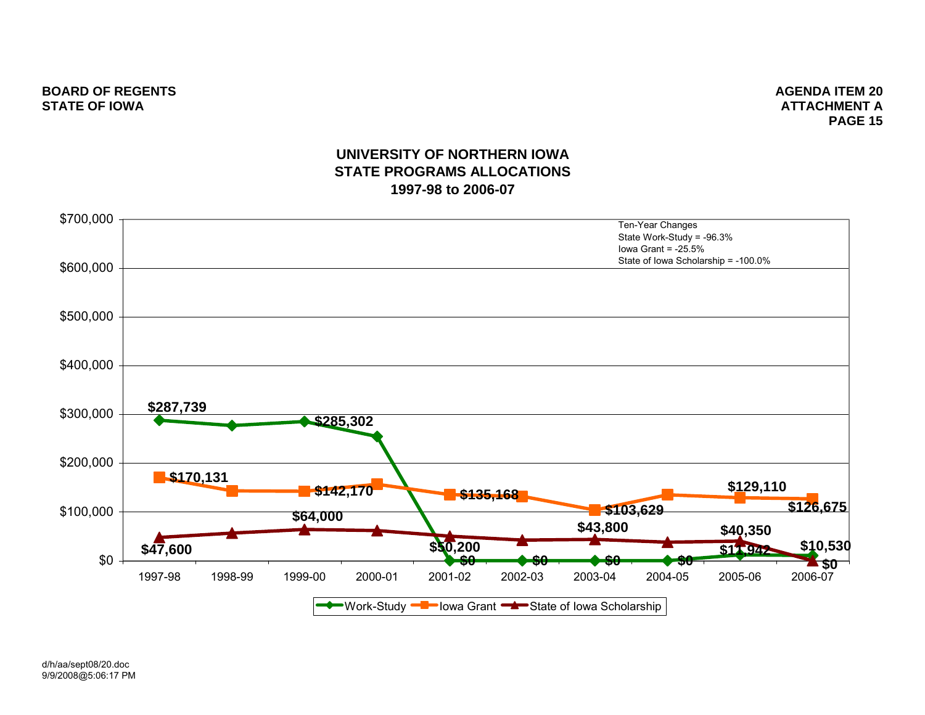**ATTACHMENT APAGE 15**

# **UNIVERSITY OF NORTHERN IOWASTATE PROGRAMS ALLOCATIONS1997-98 to 2006-07**

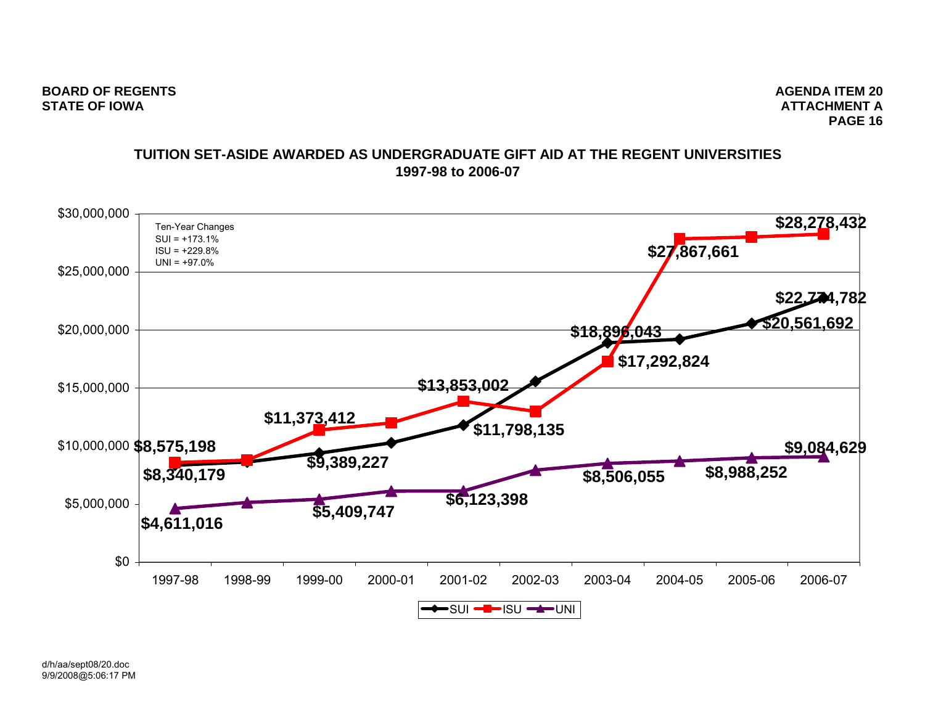## **TUITION SET-ASIDE AWARDED AS UNDERGRADUATE GIFT AID AT THE REGENT UNIVERSITIES1997-98 to 2006-07**

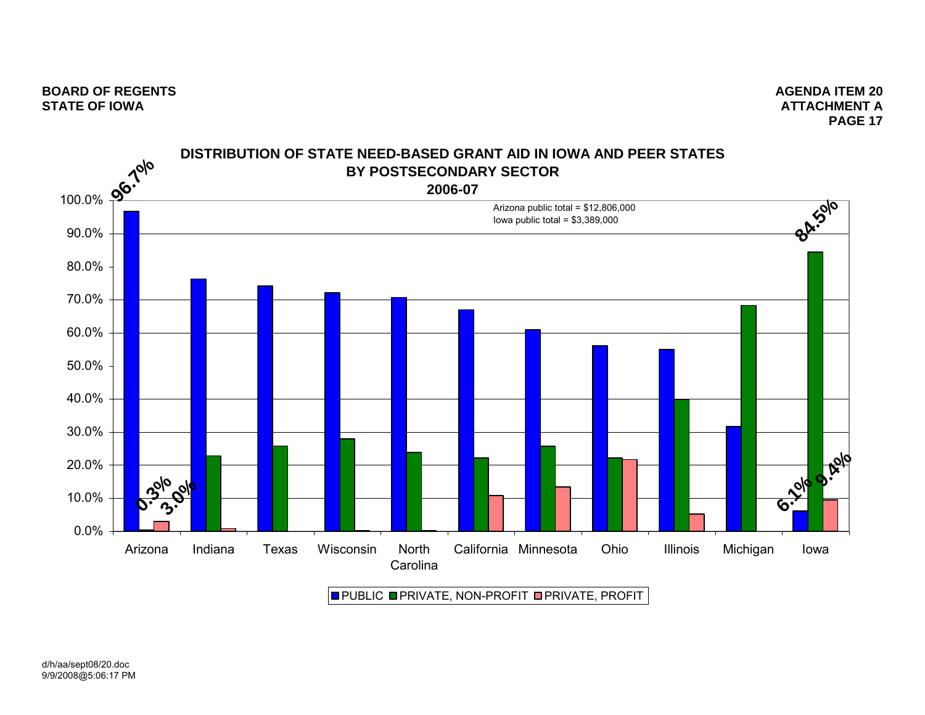

PUBLIC ■PRIVATE, NON-PROFIT ■PRIVATE, PROFIT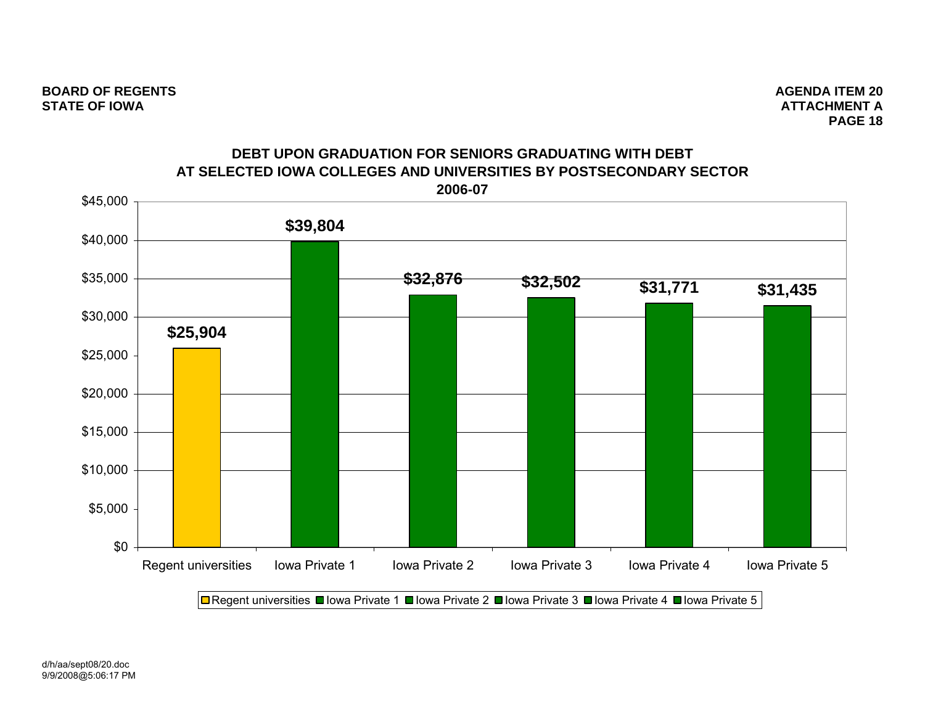

**DEBT UPON GRADUATION FOR SENIORS GRADUATING WITH DEBT**

**□** Regent universities ■ Iowa Private 1 ■ Iowa Private 2 ■ Iowa Private 3 ■ Iowa Private 4 ■ Iowa Private 5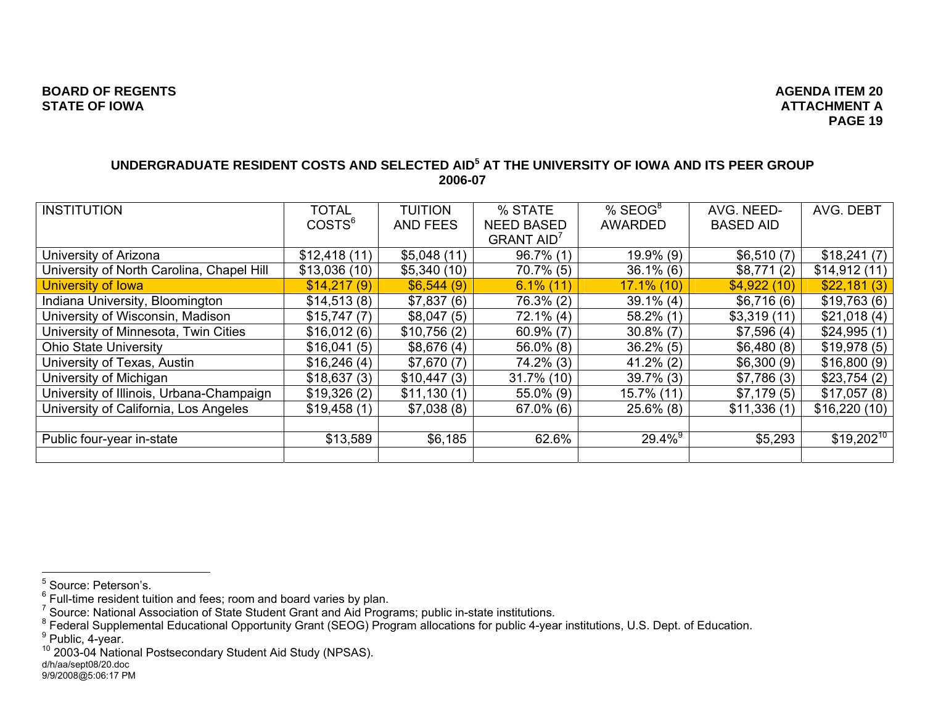# **ATTACHMENT APAGE 19**

## **UNDERGRADUATE RESIDENT COSTS AND SELECTED AID5 AT THE UNIVERSITY OF IOWA AND ITS PEER GROUP 2006-07**

| <b>INSTITUTION</b>                        | <b>TOTAL</b>       | <b>TUITION</b>  | % STATE                       | $%$ SEOG <sup>8</sup> | AVG. NEED-       | AVG. DEBT      |
|-------------------------------------------|--------------------|-----------------|-------------------------------|-----------------------|------------------|----------------|
|                                           | COSTS <sup>6</sup> | <b>AND FEES</b> | <b>NEED BASED</b>             | <b>AWARDED</b>        | <b>BASED AID</b> |                |
|                                           |                    |                 | <b>GRANT AID</b> <sup>7</sup> |                       |                  |                |
| University of Arizona                     | \$12,418(11)       | \$5,048(11)     | $96.7\%$ (1)                  | 19.9% (9)             | \$6,510(7)       | \$18,241(7)    |
| University of North Carolina, Chapel Hill | \$13,036(10)       | \$5,340(10)     | $70.7\%$ (5)                  | $36.1\%$ (6)          | \$8,771(2)       | \$14,912(11)   |
| University of Iowa                        | \$14,217(9)        | \$6,544(9)      | $6.1\%$ (11)                  | $17.1\%$ (10)         | \$4,922(10)      | \$22,181(3)    |
| Indiana University, Bloomington           | \$14,513(8)        | \$7,837(6)      | 76.3% (2)                     | $39.1\%$ (4)          | \$6,716(6)       | \$19,763(6)    |
| University of Wisconsin, Madison          | \$15,747(7)        | \$8,047(5)      | $72.1\%$ (4)                  | $58.2\%$ (1)          | \$3,319(11)      | \$21,018(4)    |
| University of Minnesota, Twin Cities      | \$16,012(6)        | \$10,756(2)     | $60.9\%$ (7)                  | $30.8\%$ (7)          | \$7,596(4)       | \$24,995(1)    |
| <b>Ohio State University</b>              | \$16,041(5)        | \$8,676(4)      | $56.0\%$ (8)                  | $36.2\%$ (5)          | \$6,480(8)       | \$19,978(5)    |
| University of Texas, Austin               | \$16,246(4)        | \$7,670(7)      | $74.2\%$ (3)                  | $41.2\%$ (2)          | \$6,300(9)       | \$16,800(9)    |
| University of Michigan                    | \$18,637(3)        | \$10,447(3)     | 31.7% (10)                    | $39.7\%$ (3)          | \$7,786(3)       | \$23,754(2)    |
| University of Illinois, Urbana-Champaign  | \$19,326(2)        | \$11,130(1)     | 55.0% (9)                     | 15.7% (11)            | \$7,179(5)       | \$17,057(8)    |
| University of California, Los Angeles     | \$19,458(1)        | \$7,038(8)      | $67.0\%$ (6)                  | $25.6\%$ (8)          | \$11,336(1)      | \$16,220(10)   |
|                                           |                    |                 |                               |                       |                  |                |
| Public four-year in-state                 | \$13,589           | \$6,185         | 62.6%                         | $29.4\%$ <sup>9</sup> | \$5,293          | $$19,202^{10}$ |
|                                           |                    |                 |                               |                       |                  |                |

<sup>5</sup> Source: Peterson's.

 $6$  Full-time resident tuition and fees; room and board varies by plan.

<sup>&</sup>lt;sup>7</sup> Source: National Association of State Student Grant and Aid Programs; public in-state institutions.<br><sup>8</sup> Federal Supplemental Educational Opportunity Grant (SEOG) Program allocations for public 4-year institutions, U.S.

<sup>9</sup> Public, 4-year.<br>
<sup>10</sup> 2003-04 National Postsecondary Student Aid Study (NPSAS).<br>
d/h/aa/sept08/20.doc

<sup>9/9/2008@5:06:17</sup> PM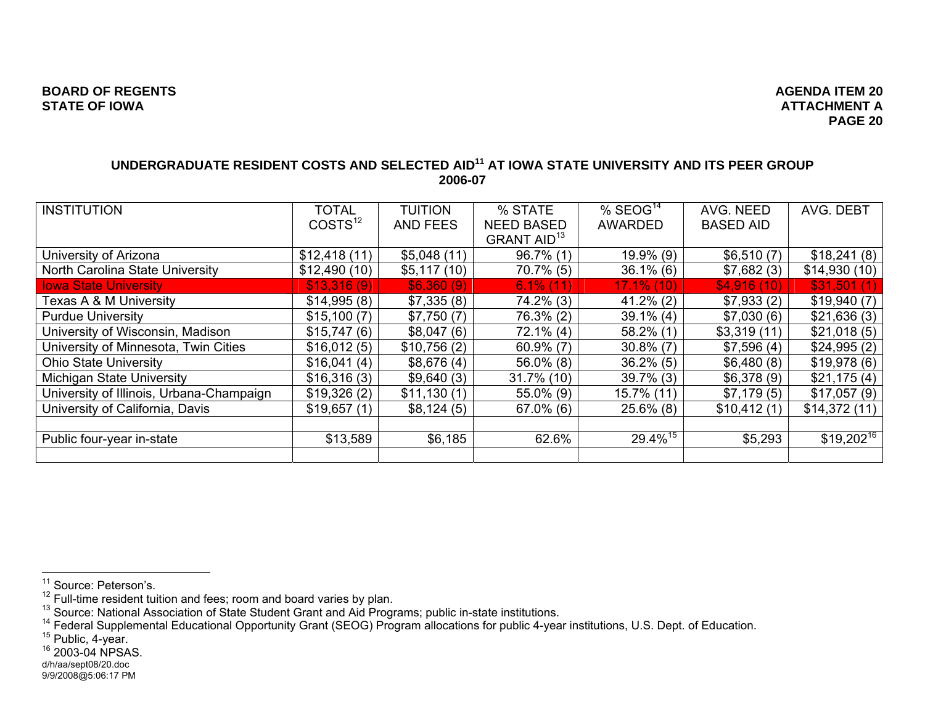## **UNDERGRADUATE RESIDENT COSTS AND SELECTED AID11 AT IOWA STATE UNIVERSITY AND ITS PEER GROUP 2006-07**

| <b>INSTITUTION</b>                       | <b>TOTAL</b>        | <b>TUITION</b>  | % STATE                        | $%$ SEOG <sup>14</sup> | AVG. NEED        | AVG. DEBT      |
|------------------------------------------|---------------------|-----------------|--------------------------------|------------------------|------------------|----------------|
|                                          | COSTS <sup>12</sup> | <b>AND FEES</b> | <b>NEED BASED</b>              | <b>AWARDED</b>         | <b>BASED AID</b> |                |
|                                          |                     |                 | <b>GRANT AID</b> <sup>13</sup> |                        |                  |                |
| University of Arizona                    | \$12,418(11)        | \$5,048(11)     | $96.7\%$ (1)                   | 19.9% (9)              | \$6,510(7)       | \$18,241(8)    |
| North Carolina State University          | \$12,490(10)        | \$5,117(10)     | $70.7\%$ (5)                   | $36.1\%$ (6)           | \$7,682(3)       | \$14,930(10)   |
| <b>Iowa State University</b>             | \$13,316(9)         | \$6,360(9)      | $6.1\%$ (11)                   | $17.1\%$ (10)          | \$4,916(10)      | \$31,501(1)    |
| Texas A & M University                   | \$14,995(8)         | \$7,335(8)      | $74.2\%$ (3)                   | $41.2\%$ (2)           | \$7,933(2)       | \$19,940(7)    |
| <b>Purdue University</b>                 | \$15,100(7)         | \$7,750(7)      | 76.3% (2)                      | $39.1\%$ (4)           | \$7,030(6)       | \$21,636(3)    |
| University of Wisconsin, Madison         | \$15,747(6)         | \$8,047(6)      | $72.1\%$ (4)                   | $58.2\%$ (1)           | \$3,319(11)      | \$21,018(5)    |
| University of Minnesota, Twin Cities     | \$16,012(5)         | \$10,756(2)     | $60.9\%$ (7)                   | $30.8\%$ (7)           | \$7,596(4)       | \$24,995(2)    |
| <b>Ohio State University</b>             | \$16,041(4)         | \$8,676(4)      | $56.0\%$ (8)                   | $36.2\%$ (5)           | \$6,480(8)       | \$19,978(6)    |
| Michigan State University                | \$16,316(3)         | \$9,640(3)      | $31.7\%$ (10)                  | $39.7\%$ (3)           | \$6,378(9)       | \$21,175(4)    |
| University of Illinois, Urbana-Champaign | \$19,326(2)         | \$11,130(1)     | $55.0\%$ (9)                   | 15.7% (11)             | \$7,179(5)       | \$17,057(9)    |
| University of California, Davis          | \$19,657(1)         | \$8,124(5)      | $67.0\%$ (6)                   | $25.6\%$ (8)           | \$10,412(1)      | \$14,372(11)   |
|                                          |                     |                 |                                |                        |                  |                |
| Public four-year in-state                | \$13,589            | \$6,185         | 62.6%                          | $29.4\%$ <sup>15</sup> | \$5,293          | $$19,202^{16}$ |
|                                          |                     |                 |                                |                        |                  |                |

<sup>&</sup>lt;sup>11</sup> Source: Peterson's.<br><sup>12</sup> Full-time resident tuition and fees; room and board varies by plan.<br><sup>13</sup> Source: National Association of State Student Grant and Aid Programs; public in-state institutions.<br><sup>13</sup> Federal Supple

d/h/aa/sept08/20.doc

<sup>9/9/2008@5:06:17</sup> PM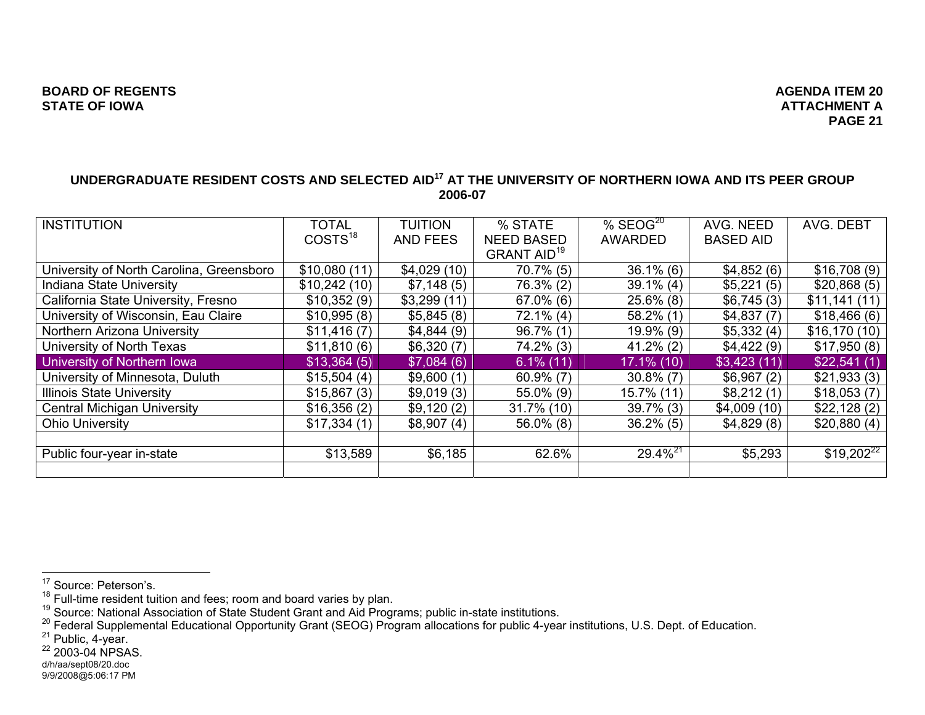#### **UNDERGRADUATE RESIDENT COSTS AND SELECTED AID17 AT THE UNIVERSITY OF NORTHERN IOWA AND ITS PEER GROUP 2006-07**

| <b>INSTITUTION</b>                       | <b>TOTAL</b>        | <b>TUITION</b>  | % STATE                       | $%$ SEOG <sup>20</sup> | AVG. NEED        | AVG. DEBT      |
|------------------------------------------|---------------------|-----------------|-------------------------------|------------------------|------------------|----------------|
|                                          | COSTS <sup>18</sup> | <b>AND FEES</b> | <b>NEED BASED</b>             | <b>AWARDED</b>         | <b>BASED AID</b> |                |
|                                          |                     |                 | <b>GRANT AID<sup>19</sup></b> |                        |                  |                |
| University of North Carolina, Greensboro | \$10,080(11)        | \$4,029(10)     | $70.7\%$ (5)                  | $36.1\%$ (6)           | \$4,852(6)       | \$16,708(9)    |
| <b>Indiana State University</b>          | \$10,242(10)        | \$7,148(5)      | 76.3% (2)                     | $39.1\%$ (4)           | \$5,221(5)       | \$20,868(5)    |
| California State University, Fresno      | \$10,352(9)         | \$3,299(11)     | $67.0\%$ (6)                  | $25.6\%$ (8)           | \$6,745(3)       | \$11,141(11)   |
| University of Wisconsin, Eau Claire      | \$10,995(8)         | \$5,845(8)      | $72.1\%$ (4)                  | $58.2\%$ (1)           | \$4,837(7)       | \$18,466(6)    |
| Northern Arizona University              | \$11,416(7)         | \$4,844(9)      | $96.7\%$ (1)                  | $19.9\%$ (9)           | \$5,332(4)       | \$16,170(10)   |
| University of North Texas                | \$11,810(6)         | \$6,320(7)      | $74.2\%$ (3)                  | $41.2\%$ (2)           | \$4,422(9)       | \$17,950(8)    |
| University of Northern Iowa              | \$13,364(5)         | \$7,084(6)      | $6.1\%$ (11)                  | $17.1\%$ (10)          | \$3,423(11)      | \$22,541(1)    |
| University of Minnesota, Duluth          | \$15,504(4)         | \$9,600(1)      | $60.9\%$ (7)                  | $30.8\%$ (7)           | \$6,967(2)       | \$21,933(3)    |
| <b>Illinois State University</b>         | \$15,867(3)         | \$9,019(3)      | 55.0% (9)                     | 15.7% (11)             | \$8,212(1)       | \$18,053(7)    |
| <b>Central Michigan University</b>       | \$16,356(2)         | \$9,120(2)      | 31.7% (10)                    | $39.7\%$ (3)           | \$4,009(10)      | \$22,128(2)    |
| <b>Ohio University</b>                   | \$17,334(1)         | \$8,907(4)      | $56.0\%$ (8)                  | $36.2\%$ (5)           | \$4,829(8)       | \$20,880(4)    |
|                                          |                     |                 |                               |                        |                  |                |
| Public four-year in-state                | \$13,589            | \$6,185         | 62.6%                         | $29.4\%^{21}$          | \$5,293          | $$19,202^{22}$ |
|                                          |                     |                 |                               |                        |                  |                |

<sup>&</sup>lt;sup>17</sup> Source: Peterson's.<br><sup>18</sup> Full-time resident tuition and fees; room and board varies by plan.<br><sup>18</sup> Source: National Association of State Student Grant and Aid Programs; public in-state institutions.<br><sup>20</sup> Federal Supple

d/h/aa/sept08/20.doc

<sup>9/9/2008@5:06:17</sup> PM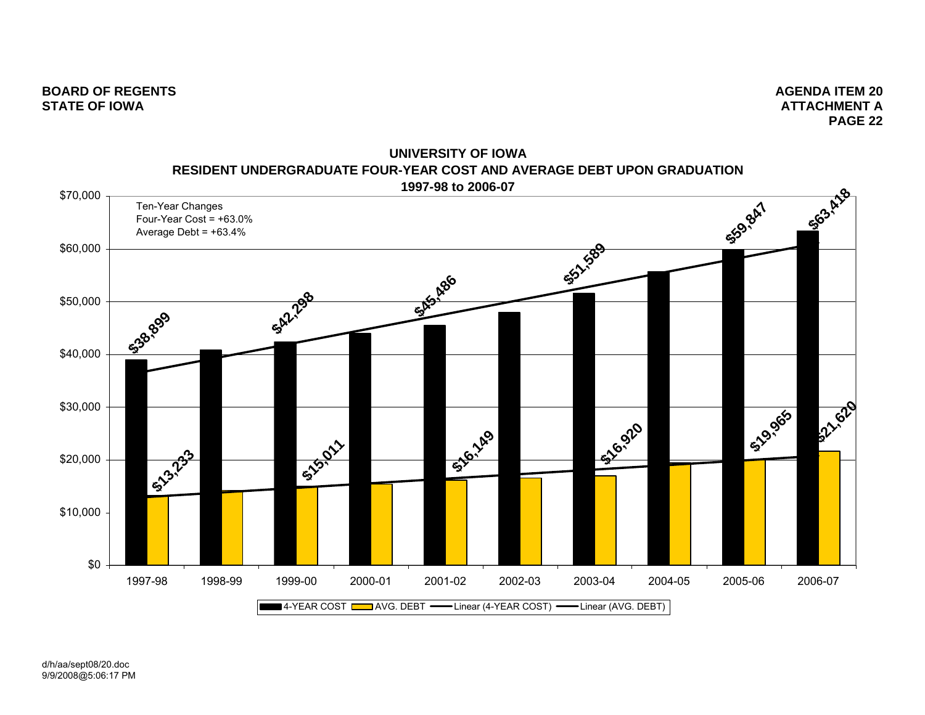

**UNIVERSITY OF IOWARESIDENT UNDERGRADUATE FOUR-YEAR COST AND AVERAGE DEBT UPON GRADUATION**

d/h/aa/sept08/20.doc 9/9/2008@5:06:17 PM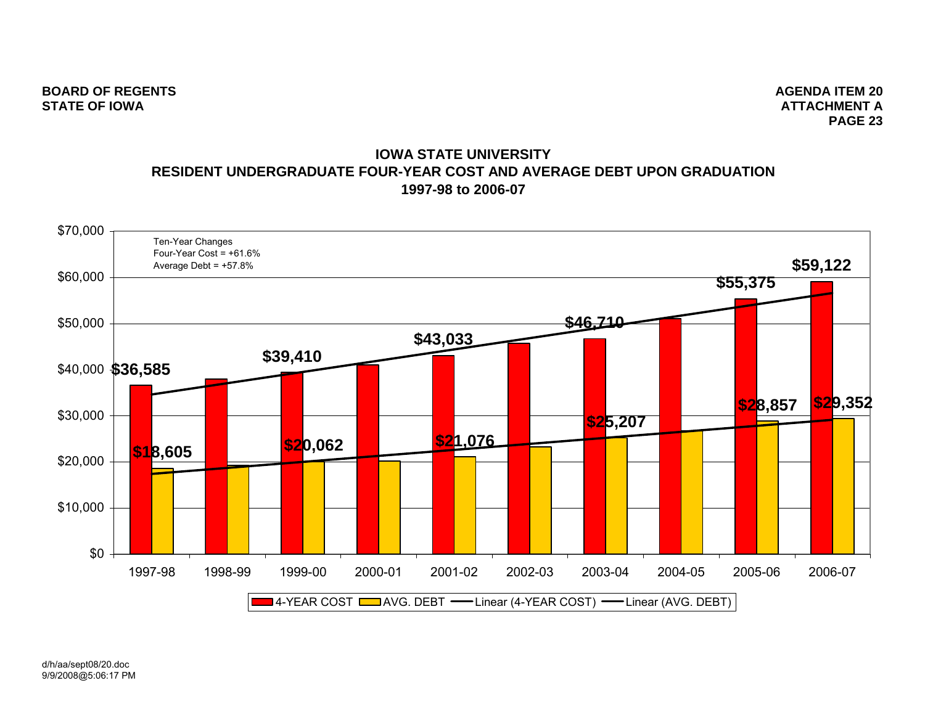## **IOWA STATE UNIVERSITYRESIDENT UNDERGRADUATE FOUR-YEAR COST AND AVERAGE DEBT UPON GRADUATION1997-98 to 2006-07**



d/h/aa/sept08/20.doc 9/9/2008@5:06:17 PM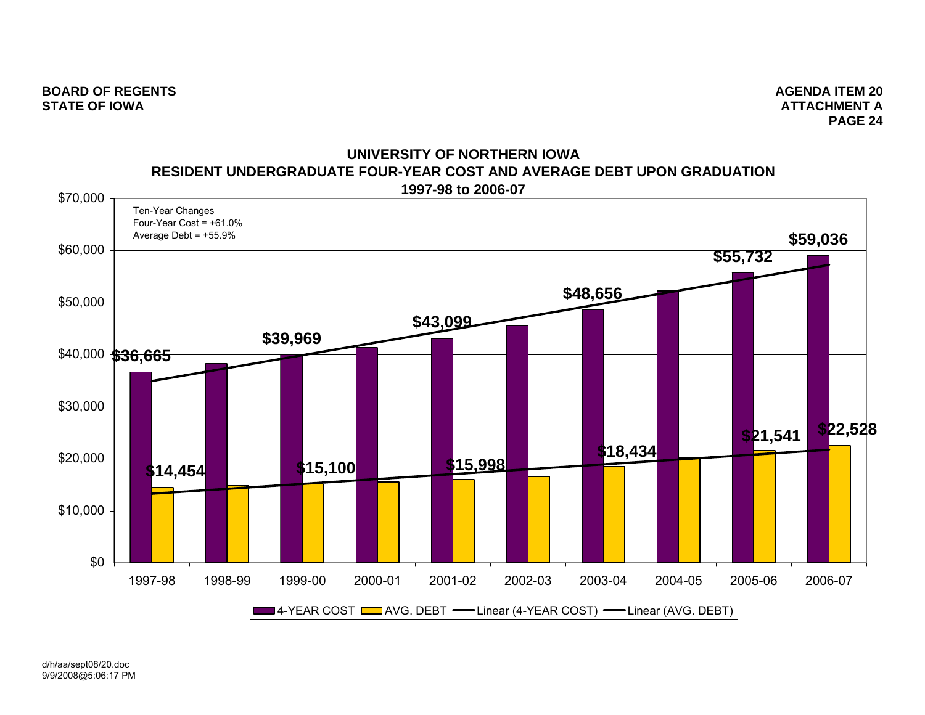

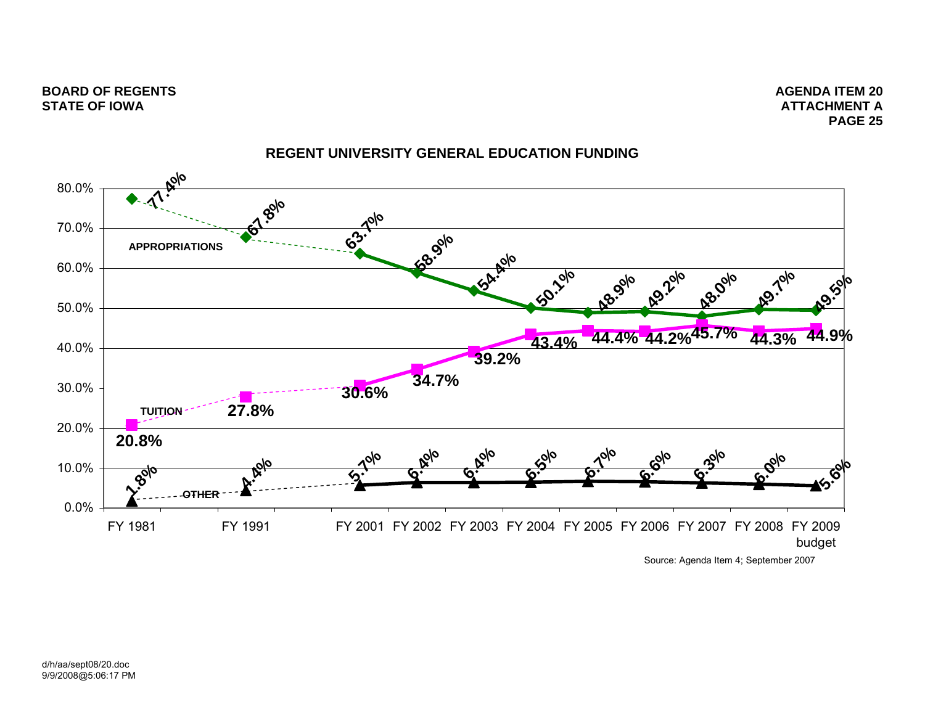**ATTACHMENT APAGE 25**



# **REGENT UNIVERSITY GENERAL EDUCATION FUNDING**

Source: Agenda Item 4; September 2007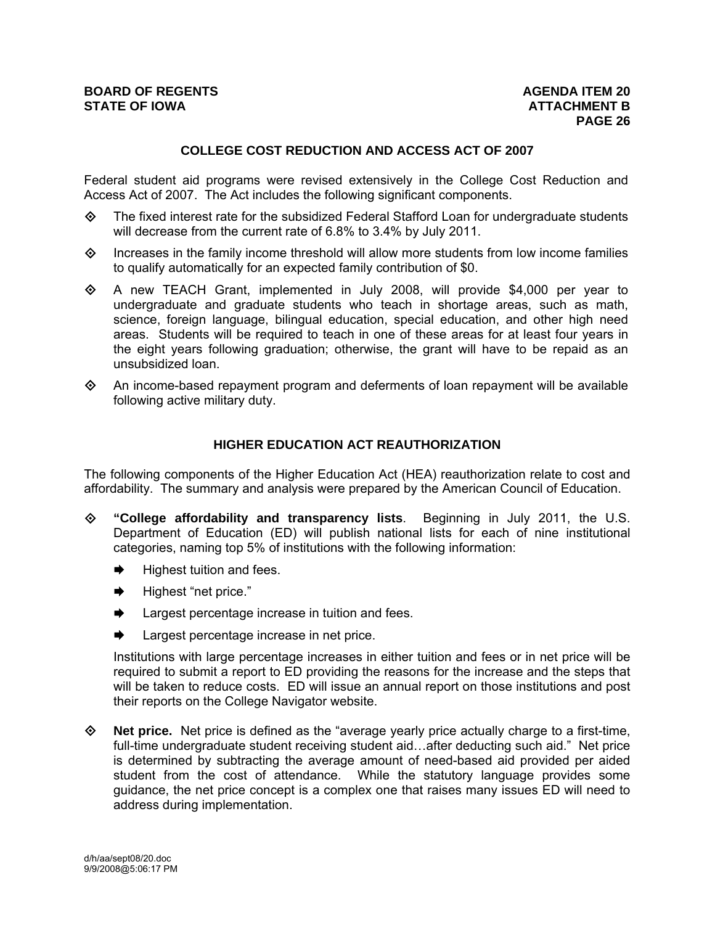## **COLLEGE COST REDUCTION AND ACCESS ACT OF 2007**

Federal student aid programs were revised extensively in the College Cost Reduction and Access Act of 2007. The Act includes the following significant components.

- $\diamond$  The fixed interest rate for the subsidized Federal Stafford Loan for undergraduate students will decrease from the current rate of 6.8% to 3.4% by July 2011.
- $\diamond$  Increases in the family income threshold will allow more students from low income families to qualify automatically for an expected family contribution of \$0.
- $\diamond$  A new TEACH Grant, implemented in July 2008, will provide \$4,000 per year to undergraduate and graduate students who teach in shortage areas, such as math, science, foreign language, bilingual education, special education, and other high need areas. Students will be required to teach in one of these areas for at least four years in the eight years following graduation; otherwise, the grant will have to be repaid as an unsubsidized loan.
- $\diamond$  An income-based repayment program and deferments of loan repayment will be available following active military duty.

## **HIGHER EDUCATION ACT REAUTHORIZATION**

The following components of the Higher Education Act (HEA) reauthorization relate to cost and affordability. The summary and analysis were prepared by the American Council of Education.

- **"College affordability and transparency lists**. Beginning in July 2011, the U.S. Department of Education (ED) will publish national lists for each of nine institutional categories, naming top 5% of institutions with the following information:
	- Highest tuition and fees.
	- $\rightarrow$  Highest "net price."
	- $\rightarrow$  Largest percentage increase in tuition and fees.
	- $\rightarrow$  Largest percentage increase in net price.

Institutions with large percentage increases in either tuition and fees or in net price will be required to submit a report to ED providing the reasons for the increase and the steps that will be taken to reduce costs. ED will issue an annual report on those institutions and post their reports on the College Navigator website.

 **Net price.** Net price is defined as the "average yearly price actually charge to a first-time, full-time undergraduate student receiving student aid…after deducting such aid." Net price is determined by subtracting the average amount of need-based aid provided per aided student from the cost of attendance. While the statutory language provides some guidance, the net price concept is a complex one that raises many issues ED will need to address during implementation.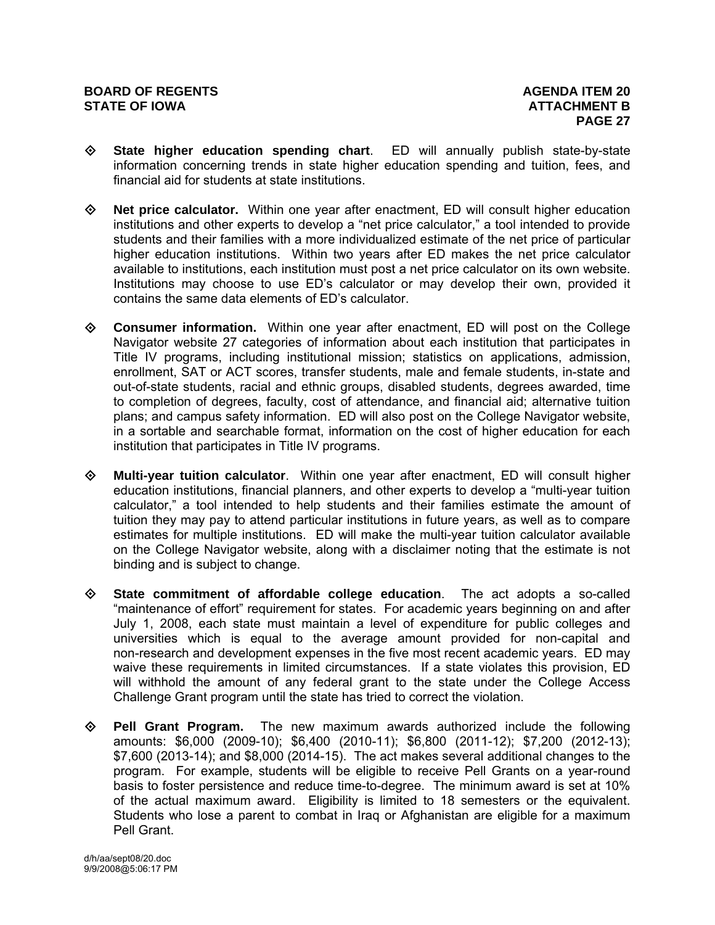- **State higher education spending chart**. ED will annually publish state-by-state information concerning trends in state higher education spending and tuition, fees, and financial aid for students at state institutions.
- **Net price calculator.** Within one year after enactment, ED will consult higher education institutions and other experts to develop a "net price calculator," a tool intended to provide students and their families with a more individualized estimate of the net price of particular higher education institutions. Within two years after ED makes the net price calculator available to institutions, each institution must post a net price calculator on its own website. Institutions may choose to use ED's calculator or may develop their own, provided it contains the same data elements of ED's calculator.
- **Consumer information.** Within one year after enactment, ED will post on the College Navigator website 27 categories of information about each institution that participates in Title IV programs, including institutional mission; statistics on applications, admission, enrollment, SAT or ACT scores, transfer students, male and female students, in-state and out-of-state students, racial and ethnic groups, disabled students, degrees awarded, time to completion of degrees, faculty, cost of attendance, and financial aid; alternative tuition plans; and campus safety information. ED will also post on the College Navigator website, in a sortable and searchable format, information on the cost of higher education for each institution that participates in Title IV programs.
- **Multi-year tuition calculator**. Within one year after enactment, ED will consult higher education institutions, financial planners, and other experts to develop a "multi-year tuition calculator," a tool intended to help students and their families estimate the amount of tuition they may pay to attend particular institutions in future years, as well as to compare estimates for multiple institutions. ED will make the multi-year tuition calculator available on the College Navigator website, along with a disclaimer noting that the estimate is not binding and is subject to change.
- **State commitment of affordable college education**. The act adopts a so-called "maintenance of effort" requirement for states. For academic years beginning on and after July 1, 2008, each state must maintain a level of expenditure for public colleges and universities which is equal to the average amount provided for non-capital and non-research and development expenses in the five most recent academic years. ED may waive these requirements in limited circumstances. If a state violates this provision, ED will withhold the amount of any federal grant to the state under the College Access Challenge Grant program until the state has tried to correct the violation.
- **Pell Grant Program.** The new maximum awards authorized include the following amounts: \$6,000 (2009-10); \$6,400 (2010-11); \$6,800 (2011-12); \$7,200 (2012-13); \$7,600 (2013-14); and \$8,000 (2014-15). The act makes several additional changes to the program. For example, students will be eligible to receive Pell Grants on a year-round basis to foster persistence and reduce time-to-degree. The minimum award is set at 10% of the actual maximum award. Eligibility is limited to 18 semesters or the equivalent. Students who lose a parent to combat in Iraq or Afghanistan are eligible for a maximum Pell Grant.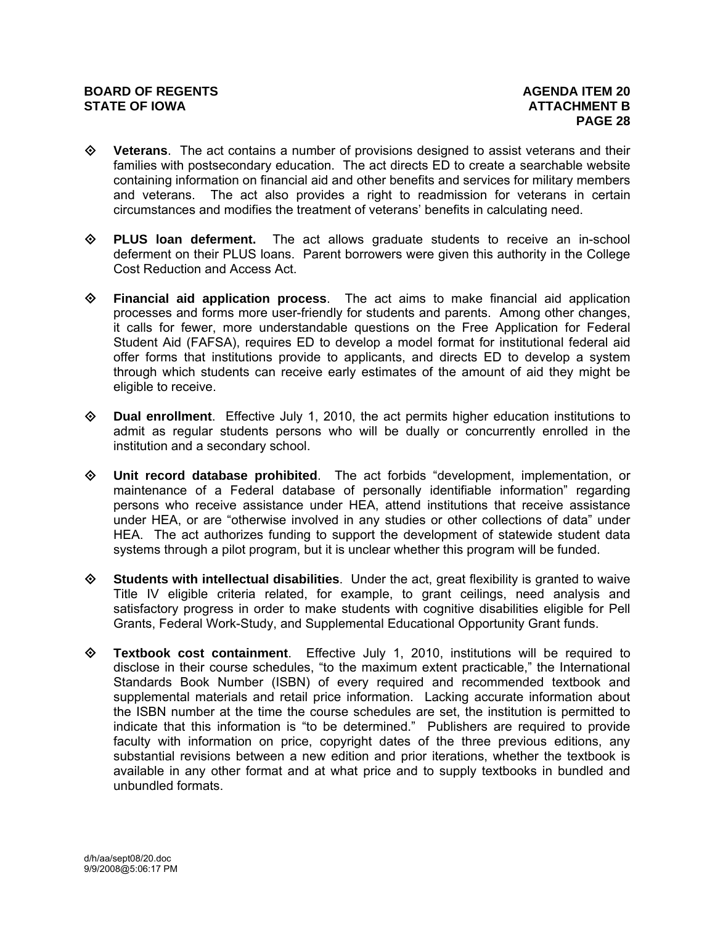#### **BOARD OF REGENTS AGENUS AGENDA ITEM 20 STATE OF IOWA ATTACHMENT B**

- **Veterans**. The act contains a number of provisions designed to assist veterans and their families with postsecondary education. The act directs ED to create a searchable website containing information on financial aid and other benefits and services for military members and veterans. The act also provides a right to readmission for veterans in certain circumstances and modifies the treatment of veterans' benefits in calculating need.
- **PLUS loan deferment.** The act allows graduate students to receive an in-school deferment on their PLUS loans. Parent borrowers were given this authority in the College Cost Reduction and Access Act.
- **Financial aid application process**. The act aims to make financial aid application processes and forms more user-friendly for students and parents. Among other changes, it calls for fewer, more understandable questions on the Free Application for Federal Student Aid (FAFSA), requires ED to develop a model format for institutional federal aid offer forms that institutions provide to applicants, and directs ED to develop a system through which students can receive early estimates of the amount of aid they might be eligible to receive.
- **Dual enrollment**. Effective July 1, 2010, the act permits higher education institutions to admit as regular students persons who will be dually or concurrently enrolled in the institution and a secondary school.
- **Unit record database prohibited**. The act forbids "development, implementation, or maintenance of a Federal database of personally identifiable information" regarding persons who receive assistance under HEA, attend institutions that receive assistance under HEA, or are "otherwise involved in any studies or other collections of data" under HEA. The act authorizes funding to support the development of statewide student data systems through a pilot program, but it is unclear whether this program will be funded.
- **Students with intellectual disabilities**. Under the act, great flexibility is granted to waive Title IV eligible criteria related, for example, to grant ceilings, need analysis and satisfactory progress in order to make students with cognitive disabilities eligible for Pell Grants, Federal Work-Study, and Supplemental Educational Opportunity Grant funds.
- **Textbook cost containment**. Effective July 1, 2010, institutions will be required to disclose in their course schedules, "to the maximum extent practicable," the International Standards Book Number (ISBN) of every required and recommended textbook and supplemental materials and retail price information. Lacking accurate information about the ISBN number at the time the course schedules are set, the institution is permitted to indicate that this information is "to be determined." Publishers are required to provide faculty with information on price, copyright dates of the three previous editions, any substantial revisions between a new edition and prior iterations, whether the textbook is available in any other format and at what price and to supply textbooks in bundled and unbundled formats.